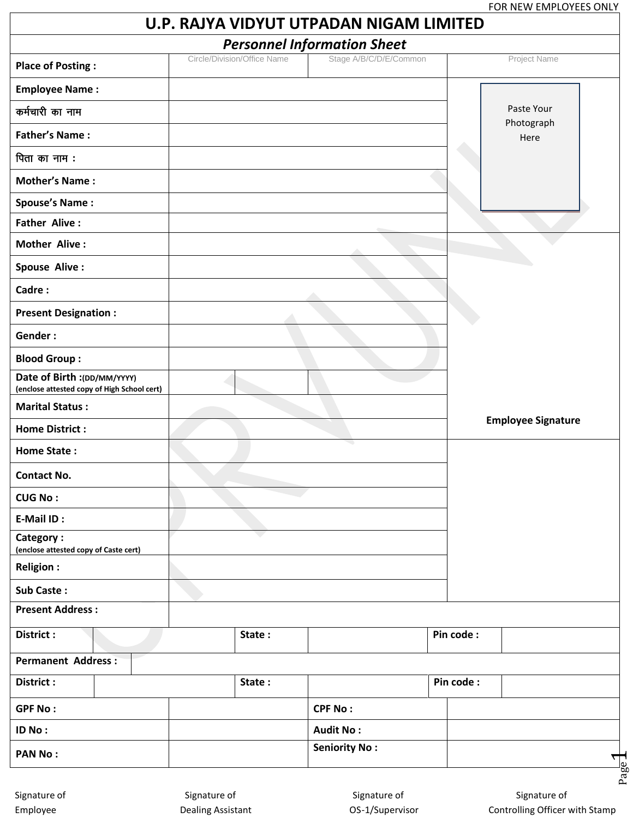|                                                                            |                             | U.P. RAJYA VIDYUT UTPADAN NIGAM LIMITED |           |                           |
|----------------------------------------------------------------------------|-----------------------------|-----------------------------------------|-----------|---------------------------|
|                                                                            |                             | <b>Personnel Information Sheet</b>      |           |                           |
| <b>Place of Posting:</b>                                                   | Circle/Division/Office Name | Stage A/B/C/D/E/Common                  |           | Project Name              |
| <b>Employee Name:</b>                                                      |                             |                                         |           |                           |
| कर्मचारी का नाम                                                            |                             |                                         |           | Paste Your                |
| <b>Father's Name:</b>                                                      |                             |                                         |           | Photograph<br>Here        |
| पिता का नाम :                                                              |                             |                                         |           |                           |
| <b>Mother's Name:</b>                                                      |                             |                                         |           |                           |
| <b>Spouse's Name:</b>                                                      |                             |                                         |           |                           |
| <b>Father Alive:</b>                                                       |                             |                                         |           |                           |
| <b>Mother Alive:</b>                                                       |                             |                                         |           |                           |
| Spouse Alive :                                                             |                             |                                         |           |                           |
| Cadre:                                                                     |                             |                                         |           |                           |
| <b>Present Designation:</b>                                                |                             |                                         |           |                           |
| Gender:                                                                    |                             |                                         |           |                           |
| <b>Blood Group:</b>                                                        |                             |                                         |           |                           |
| Date of Birth :(DD/MM/YYYY)<br>(enclose attested copy of High School cert) |                             |                                         |           |                           |
| <b>Marital Status:</b>                                                     |                             |                                         |           |                           |
| <b>Home District:</b>                                                      |                             |                                         |           | <b>Employee Signature</b> |
| <b>Home State:</b>                                                         |                             |                                         |           |                           |
| <b>Contact No.</b>                                                         |                             |                                         |           |                           |
| <b>CUG No:</b>                                                             |                             |                                         |           |                           |
| E-Mail ID:                                                                 |                             |                                         |           |                           |
| Category:<br>(enclose attested copy of Caste cert)                         |                             |                                         |           |                           |
| <b>Religion:</b>                                                           |                             |                                         |           |                           |
| Sub Caste:                                                                 |                             |                                         |           |                           |
| <b>Present Address:</b>                                                    |                             |                                         |           |                           |
| District :                                                                 | State:                      |                                         | Pin code: |                           |
| <b>Permanent Address:</b>                                                  |                             |                                         |           |                           |
| District:                                                                  | State:                      |                                         | Pin code: |                           |
| <b>GPF No:</b>                                                             |                             | <b>CPF No:</b>                          |           |                           |
| ID No:                                                                     |                             | <b>Audit No:</b>                        |           |                           |
| <b>PAN No:</b>                                                             |                             | <b>Seniority No:</b>                    |           | Page <sup>1</sup>         |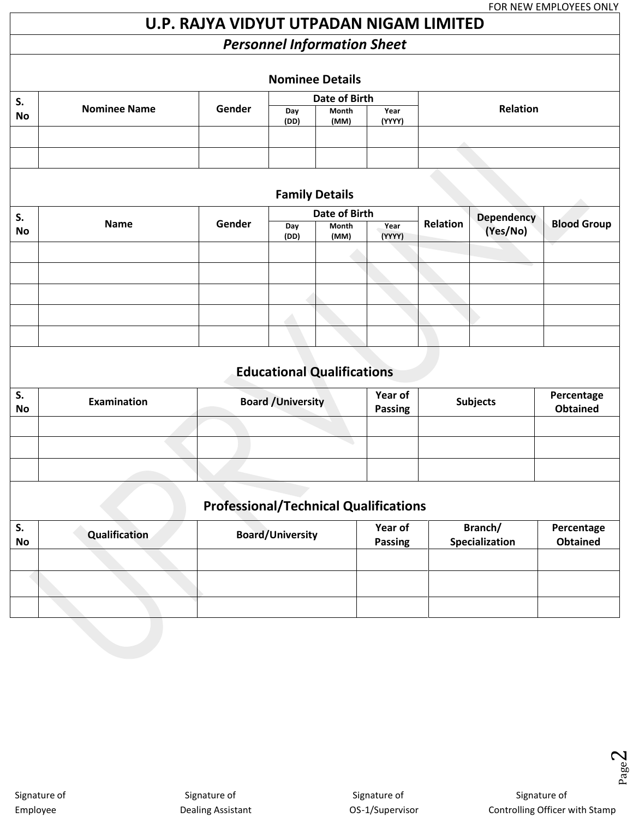# **U.P. RAJYA VIDYUT UTPADAN NIGAM LIMITED**

# *Personnel Information Sheet*

| <b>Nominee Details</b> |                     |        |               |               |                |          |  |
|------------------------|---------------------|--------|---------------|---------------|----------------|----------|--|
| S.                     |                     |        | Date of Birth |               |                |          |  |
| <b>No</b>              | <b>Nominee Name</b> | Gender | Day<br>(DD)   | Month<br>(MM) | Year<br>(YYYY) | Relation |  |
|                        |                     |        |               |               |                |          |  |
|                        |                     |        |               |               |                |          |  |

## **Family Details**

| S. |             |        | Date of Birth |               |                |          |                        |                    |  |
|----|-------------|--------|---------------|---------------|----------------|----------|------------------------|--------------------|--|
| No | <b>Name</b> | Gender | Day<br>(DD)   | Month<br>(MM) | Year<br>(YYYY) | Relation | Dependency<br>(Yes/No) | <b>Blood Group</b> |  |
|    |             |        |               |               |                |          |                        |                    |  |
|    |             |        |               |               |                |          |                        |                    |  |
|    |             |        |               |               |                |          |                        |                    |  |
|    |             |        |               |               |                |          |                        |                    |  |
|    |             |        |               |               |                |          |                        |                    |  |

# **Educational Qualifications**

| S.<br><b>No</b> | Examination | <b>Board / University</b> | Year of<br><b>Passing</b> | <b>Subjects</b> | Percentage<br>Obtained |
|-----------------|-------------|---------------------------|---------------------------|-----------------|------------------------|
|                 |             |                           |                           |                 |                        |
|                 |             |                           |                           |                 |                        |
|                 |             |                           |                           |                 |                        |

# **Professional/Technical Qualifications**

| - S.<br><b>No</b> | Qualification | <b>Board/University</b> | Year of<br><b>Passing</b> | Branch/<br>Specialization | Percentage<br><b>Obtained</b> |
|-------------------|---------------|-------------------------|---------------------------|---------------------------|-------------------------------|
|                   |               |                         |                           |                           |                               |
|                   |               |                         |                           |                           |                               |
|                   |               |                         |                           |                           |                               |

Page  $\mathrel{\sim}$ 

Signature of Signature of Signature of Signature of Signature of Signature of Signature of Signature of Signature of

Employee **Employee** Dealing Assistant Dealing Assistant COS-1/Supervisor Controlling Officer with Stamp